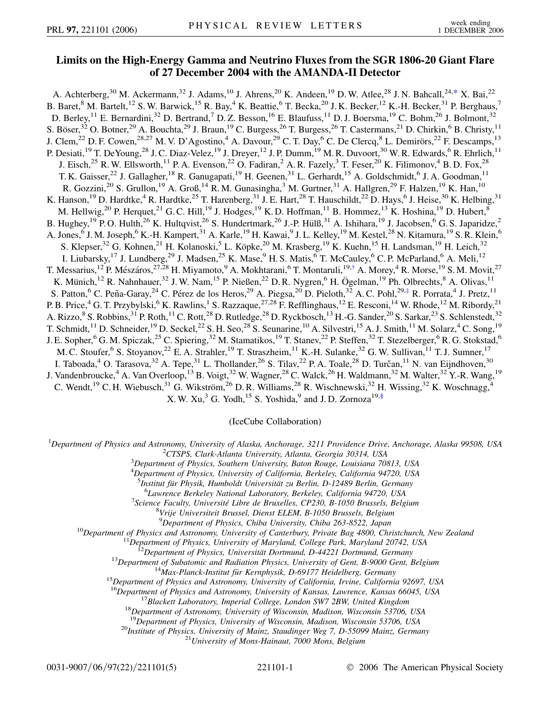## **Limits on the High-Energy Gamma and Neutrino Fluxes from the SGR 1806-20 Giant Flare of 27 December 2004 with the AMANDA-II Detector**

<span id="page-0-1"></span><span id="page-0-0"></span>A. Achterberg,<sup>30</sup> M. Ackermann,<sup>32</sup> J. Adams,<sup>10</sup> J. Ahrens,<sup>20</sup> K. Andeen,<sup>19</sup> D. W. Atlee,<sup>28</sup> J. N. Bahcall,<sup>24,[\\*](#page-4-0)</sup> X. Bai,<sup>22</sup> B. Baret, <sup>8</sup> M. Bartelt, <sup>12</sup> S. W. Barwick, <sup>15</sup> R. Bay, <sup>4</sup> K. Beattie, <sup>6</sup> T. Becka, <sup>20</sup> J. K. Becker, <sup>12</sup> K.-H. Becker, <sup>31</sup> P. Berghaus, <sup>7</sup> D. Berley, <sup>11</sup> E. Bernardini, <sup>32</sup> D. Bertrand, <sup>7</sup> D. Z. Besson, <sup>16</sup> E. Blaufuss, <sup>11</sup> D. J. Boersma, <sup>19</sup> C. Bohm, <sup>26</sup> J. Bolmont, <sup>32</sup> S. Böser,<sup>32</sup> O. Botner,<sup>29</sup> A. Bouchta,<sup>29</sup> J. Braun,<sup>19</sup> C. Burgess,<sup>26</sup> T. Burgess,<sup>26</sup> T. Castermans,<sup>21</sup> D. Chirkin,<sup>6</sup> B. Christy,<sup>11</sup> J. Clem,<sup>22</sup> D. F. Cowen,<sup>28,27</sup> M. V. D'Agostino,<sup>4</sup> A. Davour,<sup>29</sup> C. T. Day,<sup>6</sup> C. De Clercq,<sup>8</sup> L. Demirörs,<sup>22</sup> F. Descamps,<sup>13</sup> P. Desiati,<sup>19</sup> T. DeYoung,<sup>28</sup> J. C. Diaz-Velez,<sup>19</sup> J. Dreyer,<sup>12</sup> J. P. Dumm,<sup>19</sup> M. R. Duvoort,<sup>30</sup> W. R. Edwards,<sup>6</sup> R. Ehrlich,<sup>11</sup> J. Eisch,<sup>25</sup> R. W. Ellsworth,<sup>11</sup> P. A. Evenson,<sup>22</sup> O. Fadiran,<sup>2</sup> A. R. Fazely,<sup>3</sup> T. Feser,<sup>20</sup> K. Filimonov,<sup>4</sup> B. D. Fox,<sup>28</sup> T. K. Gaisser,<sup>22</sup> J. Gallagher,<sup>18</sup> R. Ganugapati,<sup>19</sup> H. Geenen,<sup>31</sup> L. Gerhardt,<sup>15</sup> A. Goldschmidt,<sup>6</sup> J. A. Goodman,<sup>11</sup> R. Gozzini,<sup>20</sup> S. Grullon,<sup>19</sup> A. Groß,<sup>14</sup> R. M. Gunasingha,<sup>3</sup> M. Gurtner,<sup>31</sup> A. Hallgren,<sup>29</sup> F. Halzen,<sup>19</sup> K. Han,<sup>10</sup> K. Hanson,<sup>19</sup> D. Hardtke,<sup>4</sup> R. Hardtke,<sup>25</sup> T. Harenberg,<sup>31</sup> J. E. Hart,<sup>28</sup> T. Hauschildt,<sup>22</sup> D. Hays,<sup>6</sup> J. Heise,<sup>30</sup> K. Helbing,<sup>31</sup> M. Hellwig,<sup>20</sup> P. Herquet,<sup>21</sup> G. C. Hill,<sup>19</sup> J. Hodges,<sup>19</sup> K. D. Hoffman,<sup>11</sup> B. Hommez,<sup>13</sup> K. Hoshina,<sup>19</sup> D. Hubert,<sup>8</sup> B. Hughey,<sup>19</sup> P.O. Hulth,<sup>26</sup> K. Hultqvist,<sup>26</sup> S. Hundertmark,<sup>26</sup> J.-P. Hülß,<sup>31</sup> A. Ishihara,<sup>19</sup> J. Jacobsen,<sup>6</sup> G. S. Japaridze,<sup>2</sup> A. Jones,<sup>6</sup> J. M. Joseph,<sup>6</sup> K.-H. Kampert,<sup>31</sup> A. Karle,<sup>19</sup> H. Kawai,<sup>9</sup> J. L. Kelley,<sup>19</sup> M. Kestel,<sup>28</sup> N. Kitamura,<sup>19</sup> S. R. Klein,<sup>6</sup> S. Klepser,<sup>32</sup> G. Kohnen,<sup>21</sup> H. Kolanoski,<sup>5</sup> L. Köpke,<sup>20</sup> M. Krasberg,<sup>19</sup> K. Kuehn,<sup>15</sup> H. Landsman,<sup>19</sup> H. Leich,<sup>32</sup> I. Liubarsky,<sup>17</sup> J. Lundberg,<sup>29</sup> J. Madsen,<sup>25</sup> K. Mase,<sup>9</sup> H. S. Matis,<sup>6</sup> T. McCauley,<sup>6</sup> C. P. McParland,<sup>6</sup> A. Meli,<sup>12</sup> T. Messarius,<sup>12</sup> P. Mészáros,<sup>27,28</sup> H. Miyamoto,<sup>9</sup> A. Mokhtarani,<sup>6</sup> T. Montaruli,<sup>19,[†](#page-4-1)</sup> A. Morey,<sup>4</sup> R. Morse,<sup>19</sup> S. M. Movit,<sup>27</sup> K. Münich,<sup>12</sup> R. Nahnhauer,<sup>32</sup> J. W. Nam,<sup>15</sup> P. Nießen,<sup>22</sup> D. R. Nygren,<sup>6</sup> H. Ögelman,<sup>19</sup> Ph. Olbrechts,<sup>8</sup> A. Olivas,<sup>11</sup> S. Patton, <sup>6</sup> C. Peña-Garay, <sup>24</sup> C. Pérez de los Heros, <sup>29</sup> A. Piegsa, <sup>20</sup> D. Pieloth, <sup>32</sup> A. C. Pohl, <sup>29[,‡](#page-4-2)</sup> R. Porrata, <sup>4</sup> J. Pretz, <sup>11</sup> P. B. Price,<sup>4</sup> G. T. Przybylski,<sup>6</sup> K. Rawlins,<sup>1</sup> S. Razzaque,<sup>27,28</sup> F. Refflinghaus,<sup>12</sup> E. Resconi,<sup>14</sup> W. Rhode,<sup>12</sup> M. Ribordy,<sup>21</sup> A. Rizzo,  $8$  S. Robbins,  $31$  P. Roth,  $11$  C. Rott,  $28$  D. Rutledge,  $28$  D. Ryckbosch,  $13$  H.-G. Sander,  $20$  S. Sarkar,  $23$  S. Schlenstedt,  $32$ T. Schmidt,<sup>11</sup> D. Schneider,<sup>19</sup> D. Seckel,<sup>22</sup> S. H. Seo,<sup>28</sup> S. Seunarine,<sup>10</sup> A. Silvestri,<sup>15</sup> A. J. Smith,<sup>11</sup> M. Solarz,<sup>4</sup> C. Song,<sup>19</sup> J. E. Sopher,<sup>6</sup> G. M. Spiczak,<sup>25</sup> C. Spiering,<sup>32</sup> M. Stamatikos,<sup>19</sup> T. Stanev,<sup>22</sup> P. Steffen,<sup>32</sup> T. Stezelberger,<sup>6</sup> R. G. Stokstad,<sup>6</sup> M. C. Stoufer, <sup>6</sup> S. Stoyanov, <sup>22</sup> E. A. Strahler, <sup>19</sup> T. Straszheim, <sup>11</sup> K.-H. Sulanke, <sup>32</sup> G. W. Sullivan, <sup>11</sup> T. J. Sumner, <sup>17</sup> I. Taboada,<sup>4</sup> O. Tarasova,<sup>32</sup> A. Tepe,<sup>31</sup> L. Thollander,<sup>26</sup> S. Tilav,<sup>22</sup> P. A. Toale,<sup>28</sup> D. Turčan,<sup>11</sup> N. van Eijndhoven,<sup>30</sup> J. Vandenbroucke,<sup>4</sup> A. Van Overloop,<sup>13</sup> B. Voigt,<sup>32</sup> W. Wagner,<sup>28</sup> C. Walck,<sup>26</sup> H. Waldmann,<sup>32</sup> M. Walter,<sup>32</sup> Y.-R. Wang,<sup>19</sup> C. Wendt,<sup>19</sup> C. H. Wiebusch,<sup>31</sup> G. Wikström,<sup>26</sup> D. R. Williams,<sup>28</sup> R. Wischnewski,<sup>32</sup> H. Wissing,<sup>32</sup> K. Woschnagg,<sup>4</sup> X. W. Xu,<sup>3</sup> G. Yodh,<sup>15</sup> S. Yoshida,<sup>9</sup> and J. D. Zornoza<sup>19,§</sup>

(IceCube Collaboration)

<span id="page-0-2"></span><sup>1</sup>Department of Physics and Astronomy, University of Alaska, Anchorage, 3211 Providence Drive, Anchorage, Alaska 99508, USA<br><sup>2</sup>CTSPS, Clark Atlanta University, Atlanta Georgia 30314, USA

<sup>2</sup> CTSPS, Clark-Atlanta University, Atlanta, Georgia 30314, USA

*Department of Physics, Southern University, Baton Rouge, Louisiana 70813, USA*

4 *Department of Physics, University of California, Berkeley, California 94720, USA*

<sup>5</sup> İnstitut für Physik, Humboldt Universität zu Berlin, D-12489 Berlin, Germany<br>6 Lawrenge Berkeley National Laboratory, Berkeley California 94720, USA

*Lawrence Berkeley National Laboratory, Berkeley, California 94720, USA* <sup>7</sup>

*Science Faculty, Universite´ Libre de Bruxelles, CP230, B-1050 Brussels, Belgium* <sup>8</sup>

*Vrije Universiteit Brussel, Dienst ELEM, B-1050 Brussels, Belgium*

<sup>9</sup>Department of Physics, Chiba University, Chiba 263-8522, Japan

<sup>10</sup>Department of Physics and Astronomy, University of Canterbury, Private Bag 4800, Christchurch, New Zealand<br><sup>11</sup>Department of Physics, University of Maryland, College Park, Maryland 20742, USA<br><sup>12</sup>Department of Physics

<sup>16</sup>Department of Physics and Astronomy, University of Kansas, Lawrence, Kansas 66045, USA<br><sup>17</sup>Blackett Laboratory, Imperial College, London SW7 2BW, United Kingdom<br><sup>18</sup>Department of Astronomy, University of Wisconsin, Ma

<sup>20</sup>Institute of Physics, University of Mainz, Staudinger Weg 7, D-55099 Mainz, Germany<br><sup>21</sup>University of Mons-Hainaut, 7000 Mons, Belgium

0031-9007/06/97(22)/221101(5) 221101-1 © 2006 The American Physical Society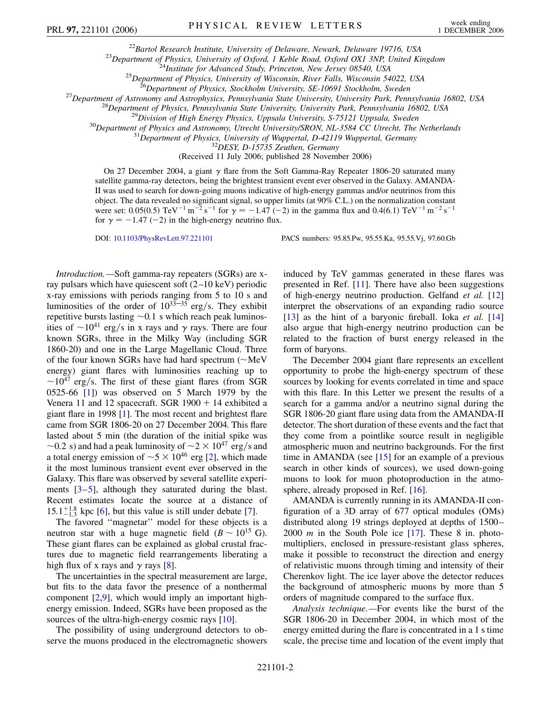<sup>22</sup>Bartol Research Institute, University of Delaware, Newark, Delaware 19716, USA<br><sup>23</sup>Department of Physics, University of Oxford, 1 Keble Road, Oxford OX1 3NP, United Kingdom<br><sup>24</sup>Institute for Advanced Study, Princeton,

(Received 11 July 2006; published 28 November 2006)

On 27 December 2004, a giant  $\gamma$  flare from the Soft Gamma-Ray Repeater 1806-20 saturated many satellite gamma-ray detectors, being the brightest transient event ever observed in the Galaxy. AMANDA-II was used to search for down-going muons indicative of high-energy gammas and/or neutrinos from this object. The data revealed no significant signal, so upper limits (at 90% C.L.) on the normalization constant were set: 0.05(0.5)  $\text{TeV}^{-1} \text{ m}^{-2} \text{ s}^{-1}$  for  $\gamma = -1.47 (-2)$  in the gamma flux and 0.4(6.1)  $\text{TeV}^{-1} \text{ m}^{-2} \text{ s}^{-1}$ for  $\gamma = -1.47 (-2)$  in the high-energy neutrino flux.

DOI: [10.1103/PhysRevLett.97.221101](http://dx.doi.org/10.1103/PhysRevLett.97.221101) PACS numbers: 95.85.Pw, 95.55.Ka, 95.55.Vj, 97.60.Gb

*Introduction.—*Soft gamma-ray repeaters (SGRs) are xray pulsars which have quiescent soft (2–10 keV) periodic x-ray emissions with periods ranging from 5 to 10 s and luminosities of the order of  $10^{33-35}$  erg/s. They exhibit repetitive bursts lasting  $\sim 0.1$  s which reach peak luminosities of  $\sim 10^{41}$  erg/s in x rays and  $\gamma$  rays. There are four known SGRs, three in the Milky Way (including SGR 1860-20) and one in the Large Magellanic Cloud. Three of the four known SGRs have had hard spectrum  $(\sim MeV)$ energy) giant flares with luminosities reaching up to  $\sim$ 10<sup>47</sup> erg/s. The first of these giant flares (from SGR) 0525-66 [\[1](#page-4-3)]) was observed on 5 March 1979 by the Venera 11 and 12 spacecraft. SGR  $1900 + 14$  exhibited a giant flare in 1998 [[1\]](#page-4-3). The most recent and brightest flare came from SGR 1806-20 on 27 December 2004. This flare lasted about 5 min (the duration of the initial spike was  $\sim$ 0.2 s) and had a peak luminosity of  $\sim$ 2  $\times$  10<sup>47</sup> erg/s and a total energy emission of  $\sim$  5  $\times$  10<sup>46</sup> erg [[2](#page-4-4)], which made it the most luminous transient event ever observed in the Galaxy. This flare was observed by several satellite experiments [[3](#page-4-5)[–5](#page-4-6)], although they saturated during the blast. Recent estimates locate the source at a distance of  $15.1^{+1.8}_{-1.3}$  kpc [\[6](#page-4-7)], but this value is still under debate [\[7](#page-4-8)].

The favored ''magnetar'' model for these objects is a neutron star with a huge magnetic field  $(B \sim 10^{15} \text{ G})$ . These giant flares can be explained as global crustal fractures due to magnetic field rearrangements liberating a high flux of x rays and  $\gamma$  rays [\[8](#page-4-9)].

The uncertainties in the spectral measurement are large, but fits to the data favor the presence of a nonthermal component  $[2,9]$  $[2,9]$  $[2,9]$  $[2,9]$ , which would imply an important highenergy emission. Indeed, SGRs have been proposed as the sources of the ultra-high-energy cosmic rays [[10](#page-4-11)].

The possibility of using underground detectors to observe the muons produced in the electromagnetic showers induced by TeV gammas generated in these flares was presented in Ref. [[11](#page-4-12)]. There have also been suggestions of high-energy neutrino production. Gelfand *et al.* [\[12\]](#page-4-13) interpret the observations of an expanding radio source [\[13\]](#page-4-14) as the hint of a baryonic fireball. Ioka *et al.* [\[14\]](#page-4-15) also argue that high-energy neutrino production can be related to the fraction of burst energy released in the form of baryons.

The December 2004 giant flare represents an excellent opportunity to probe the high-energy spectrum of these sources by looking for events correlated in time and space with this flare. In this Letter we present the results of a search for a gamma and/or a neutrino signal during the SGR 1806-20 giant flare using data from the AMANDA-II detector. The short duration of these events and the fact that they come from a pointlike source result in negligible atmospheric muon and neutrino backgrounds. For the first time in AMANDA (see [[15](#page-4-16)] for an example of a previous search in other kinds of sources), we used down-going muons to look for muon photoproduction in the atmosphere, already proposed in Ref. [[16](#page-4-17)].

AMANDA is currently running in its AMANDA-II configuration of a 3D array of 677 optical modules (OMs) distributed along 19 strings deployed at depths of 1500– 2000 *m* in the South Pole ice [\[17\]](#page-4-18). These 8 in. photomultipliers, enclosed in pressure-resistant glass spheres, make it possible to reconstruct the direction and energy of relativistic muons through timing and intensity of their Cherenkov light. The ice layer above the detector reduces the background of atmospheric muons by more than 5 orders of magnitude compared to the surface flux.

*Analysis technique.—*For events like the burst of the SGR 1806-20 in December 2004, in which most of the energy emitted during the flare is concentrated in a 1 s time scale, the precise time and location of the event imply that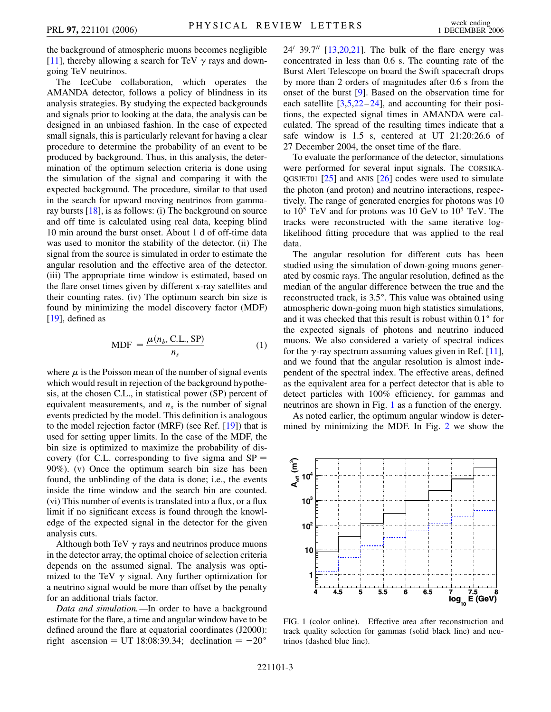the background of atmospheric muons becomes negligible [\[11\]](#page-4-12), thereby allowing a search for TeV  $\gamma$  rays and downgoing TeV neutrinos.

The IceCube collaboration, which operates the AMANDA detector, follows a policy of blindness in its analysis strategies. By studying the expected backgrounds and signals prior to looking at the data, the analysis can be designed in an unbiased fashion. In the case of expected small signals, this is particularly relevant for having a clear procedure to determine the probability of an event to be produced by background. Thus, in this analysis, the determination of the optimum selection criteria is done using the simulation of the signal and comparing it with the expected background. The procedure, similar to that used in the search for upward moving neutrinos from gammaray bursts [\[18\]](#page-4-19), is as follows: (i) The background on source and off time is calculated using real data, keeping blind 10 min around the burst onset. About 1 d of off-time data was used to monitor the stability of the detector. (ii) The signal from the source is simulated in order to estimate the angular resolution and the effective area of the detector. (iii) The appropriate time window is estimated, based on the flare onset times given by different x-ray satellites and their counting rates. (iv) The optimum search bin size is found by minimizing the model discovery factor (MDF) [\[19\]](#page-4-20), defined as

$$
MDF = \frac{\mu(n_b, C.L., SP)}{n_s}
$$
 (1)

where  $\mu$  is the Poisson mean of the number of signal events which would result in rejection of the background hypothesis, at the chosen C.L., in statistical power (SP) percent of equivalent measurements, and  $n<sub>s</sub>$  is the number of signal events predicted by the model. This definition is analogous to the model rejection factor (MRF) (see Ref. [\[19](#page-4-20)]) that is used for setting upper limits. In the case of the MDF, the bin size is optimized to maximize the probability of discovery (for C.L. corresponding to five sigma and  $SP =$ 90%). (v) Once the optimum search bin size has been found, the unblinding of the data is done; i.e., the events inside the time window and the search bin are counted. (vi) This number of events is translated into a flux, or a flux limit if no significant excess is found through the knowledge of the expected signal in the detector for the given analysis cuts.

Although both TeV  $\gamma$  rays and neutrinos produce muons in the detector array, the optimal choice of selection criteria depends on the assumed signal. The analysis was optimized to the TeV  $\gamma$  signal. Any further optimization for a neutrino signal would be more than offset by the penalty for an additional trials factor.

*Data and simulation.—*In order to have a background estimate for the flare, a time and angular window have to be defined around the flare at equatorial coordinates (J2000): right ascension = UT 18:08:39.34; declination =  $-20^{\circ}$ 

24<sup> $\prime$ </sup> 39.7<sup> $\prime\prime$ </sup> [\[13,](#page-4-14)[20,](#page-4-21)[21\]](#page-4-22). The bulk of the flare energy was concentrated in less than 0.6 s. The counting rate of the Burst Alert Telescope on board the Swift spacecraft drops by more than 2 orders of magnitudes after 0.6 s from the onset of the burst [[9](#page-4-10)]. Based on the observation time for each satellite  $[3,5,22-24]$  $[3,5,22-24]$  $[3,5,22-24]$  $[3,5,22-24]$  $[3,5,22-24]$  $[3,5,22-24]$  $[3,5,22-24]$ , and accounting for their positions, the expected signal times in AMANDA were calculated. The spread of the resulting times indicate that a safe window is 1.5 s, centered at UT 21:20:26.6 of 27 December 2004, the onset time of the flare.

To evaluate the performance of the detector, simulations were performed for several input signals. The CORSIKA-QGSJET01 [\[25\]](#page-4-25) and ANIS [\[26\]](#page-4-26) codes were used to simulate the photon (and proton) and neutrino interactions, respectively. The range of generated energies for photons was 10 to  $10^5$  TeV and for protons was 10 GeV to  $10^5$  TeV. The tracks were reconstructed with the same iterative loglikelihood fitting procedure that was applied to the real data.

The angular resolution for different cuts has been studied using the simulation of down-going muons generated by cosmic rays. The angular resolution, defined as the median of the angular difference between the true and the reconstructed track, is 3.5°. This value was obtained using atmospheric down-going muon high statistics simulations, and it was checked that this result is robust within  $0.1^\circ$  for the expected signals of photons and neutrino induced muons. We also considered a variety of spectral indices for the  $\gamma$ -ray spectrum assuming values given in Ref. [[11\]](#page-4-12), and we found that the angular resolution is almost independent of the spectral index. The effective areas, defined as the equivalent area for a perfect detector that is able to detect particles with 100% efficiency, for gammas and neutrinos are shown in Fig. [1](#page-2-0) as a function of the energy.

As noted earlier, the optimum angular window is determined by minimizing the MDF. In Fig. [2](#page-3-0) we show the

<span id="page-2-0"></span>

FIG. 1 (color online). Effective area after reconstruction and track quality selection for gammas (solid black line) and neutrinos (dashed blue line).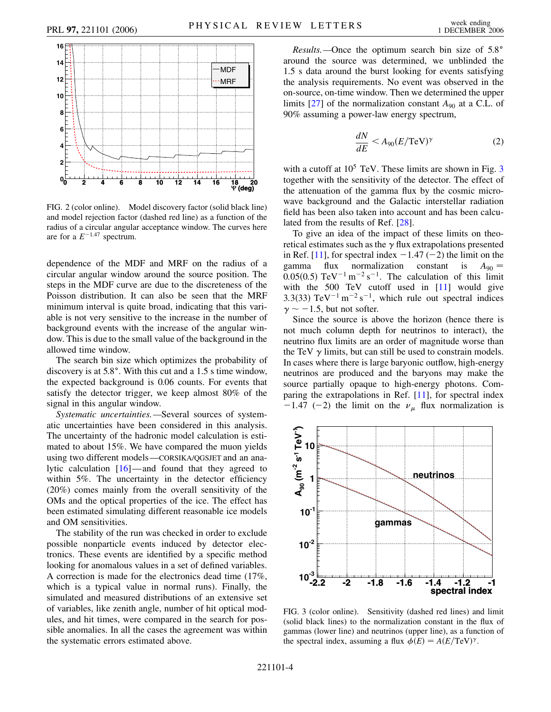<span id="page-3-0"></span>

FIG. 2 (color online). Model discovery factor (solid black line) and model rejection factor (dashed red line) as a function of the radius of a circular angular acceptance window. The curves here are for a  $E^{-1.47}$  spectrum.

dependence of the MDF and MRF on the radius of a circular angular window around the source position. The steps in the MDF curve are due to the discreteness of the Poisson distribution. It can also be seen that the MRF minimum interval is quite broad, indicating that this variable is not very sensitive to the increase in the number of background events with the increase of the angular window. This is due to the small value of the background in the allowed time window.

The search bin size which optimizes the probability of discovery is at  $5.8^\circ$ . With this cut and a 1.5 s time window, the expected background is 0.06 counts. For events that satisfy the detector trigger, we keep almost 80% of the signal in this angular window.

*Systematic uncertainties.—*Several sources of systematic uncertainties have been considered in this analysis. The uncertainty of the hadronic model calculation is estimated to about 15%. We have compared the muon yields using two different models—CORSIKA/QGSJET and an analytic calculation [\[16](#page-4-17)]—and found that they agreed to within 5%. The uncertainty in the detector efficiency (20%) comes mainly from the overall sensitivity of the OMs and the optical properties of the ice. The effect has been estimated simulating different reasonable ice models and OM sensitivities.

The stability of the run was checked in order to exclude possible nonparticle events induced by detector electronics. These events are identified by a specific method looking for anomalous values in a set of defined variables. A correction is made for the electronics dead time (17%, which is a typical value in normal runs). Finally, the simulated and measured distributions of an extensive set of variables, like zenith angle, number of hit optical modules, and hit times, were compared in the search for possible anomalies. In all the cases the agreement was within the systematic errors estimated above.

*Results.*—Once the optimum search bin size of 5.8° around the source was determined, we unblinded the 1.5 s data around the burst looking for events satisfying the analysis requirements. No event was observed in the on-source, on-time window. Then we determined the upper limits  $[27]$  $[27]$  $[27]$  of the normalization constant  $A_{90}$  at a C.L. of 90% assuming a power-law energy spectrum,

$$
\frac{dN}{dE} < A_{90}(E/\text{TeV})^\gamma \tag{2}
$$

with a cutoff at  $10^5$  TeV. These limits are shown in Fig.  $3$ together with the sensitivity of the detector. The effect of the attenuation of the gamma flux by the cosmic microwave background and the Galactic interstellar radiation field has been also taken into account and has been calculated from the results of Ref. [\[28\]](#page-4-28).

To give an idea of the impact of these limits on theoretical estimates such as the  $\gamma$  flux extrapolations presented in Ref. [\[11\]](#page-4-12), for spectral index  $-1.47$  ( $-2$ ) the limit on the gamma flux normalization constant is  $A_{90} =$  $0.05(0.5)$  TeV<sup>-1</sup> m<sup>-2</sup> s<sup>-1</sup>. The calculation of this limit with the 500 TeV cutoff used in [\[11\]](#page-4-12) would give 3.3(33)  $\text{TeV}^{-1} \text{ m}^{-2} \text{ s}^{-1}$ , which rule out spectral indices  $\gamma \sim -1.5$ , but not softer.

Since the source is above the horizon (hence there is not much column depth for neutrinos to interact), the neutrino flux limits are an order of magnitude worse than the TeV  $\gamma$  limits, but can still be used to constrain models. In cases where there is large baryonic outflow, high-energy neutrinos are produced and the baryons may make the source partially opaque to high-energy photons. Comparing the extrapolations in Ref. [\[11\]](#page-4-12), for spectral index  $-1.47$  (-2) the limit on the  $\nu_{\mu}$  flux normalization is

<span id="page-3-1"></span>

FIG. 3 (color online). Sensitivity (dashed red lines) and limit (solid black lines) to the normalization constant in the flux of gammas (lower line) and neutrinos (upper line), as a function of the spectral index, assuming a flux  $\phi(E) = A(E/\text{TeV})^{\gamma}$ .